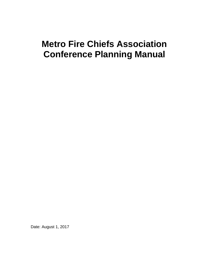# **Metro Fire Chiefs Association Conference Planning Manual**

Date: August 1, 2017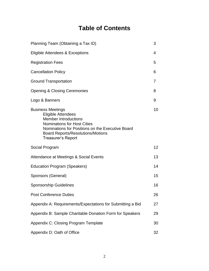## **Table of Contents**

| Planning Team (Obtaining a Tax ID)                                                                                                                                                                                                                      |                 |
|---------------------------------------------------------------------------------------------------------------------------------------------------------------------------------------------------------------------------------------------------------|-----------------|
| Eligible Attendees & Exceptions                                                                                                                                                                                                                         | 4               |
| <b>Registration Fees</b>                                                                                                                                                                                                                                | 5               |
| <b>Cancellation Policy</b>                                                                                                                                                                                                                              | 6               |
| <b>Ground Transportation</b>                                                                                                                                                                                                                            | 7               |
| <b>Opening &amp; Closing Ceremonies</b>                                                                                                                                                                                                                 | 8               |
| Logo & Banners                                                                                                                                                                                                                                          | 9               |
| <b>Business Meetings</b><br><b>Eligible Attendees</b><br><b>Member Introductions</b><br><b>Nominations for Host Cities</b><br>Nominations for Positions on the Executive Board<br><b>Board Reports/Resolutions/Motions</b><br><b>Treasurer's Report</b> | 10              |
| Social Program                                                                                                                                                                                                                                          | 12 <sup>2</sup> |
| Attendance at Meetings & Social Events                                                                                                                                                                                                                  | 13              |
| <b>Education Program (Speakers)</b>                                                                                                                                                                                                                     | 14              |
| Sponsors (General)                                                                                                                                                                                                                                      | 15              |
| <b>Sponsorship Guidelines</b>                                                                                                                                                                                                                           | 16              |
| <b>Post Conference Duties</b>                                                                                                                                                                                                                           | 26              |
| Appendix A: Requirements/Expectations for Submitting a Bid                                                                                                                                                                                              | 27              |
| Appendix B: Sample Charitable Donation Form for Speakers                                                                                                                                                                                                | 29              |
| Appendix C: Closing Program Template                                                                                                                                                                                                                    | 30              |
| Appendix D: Oath of Office                                                                                                                                                                                                                              | 32              |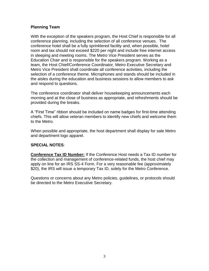#### **Planning Team**

With the exception of the speakers program, the Host Chief is responsible for all conference planning, including the selection of all conference venues. The conference hotel shall be a fully sprinklered facility and, when possible, hotel room and tax should not exceed \$220 per night and include free internet access in sleeping and meeting rooms. The Metro Vice President serves as the Education Chair and is responsible for the speakers program. Working as a team, the Host Chief/Conference Coordinator, Metro Executive Secretary and Metro Vice President shall coordinate all conference activities, including the selection of a conference theme. Microphones and stands should be included in the aisles during the education and business sessions to allow members to ask and respond to questions.

The conference coordinator shall deliver housekeeping announcements each morning and at the close of business as appropriate, and refreshments should be provided during the breaks.

A "First Time" ribbon should be included on name badges for first-time attending chiefs. This will allow veteran members to identify new chiefs and welcome them to the Metro.

When possible and appropriate, the host department shall display for sale Metro and department logo apparel.

#### **SPECIAL NOTES**:

**Conference Tax ID Number:** If the Conference Host needs a Tax ID number for the collection and management of conference-related funds, the host chief may apply on line for an IRS SS-4 Form. For a very reasonable fee (approximately \$20), the IRS will issue a temporary Tax ID, solely for the Metro Conference.

Questions or concerns about any Metro policies, guidelines, or protocols should be directed to the Metro Executive Secretary.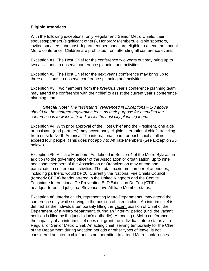#### **Eligible Attendees**

With the following exceptions, only Regular and Senior Metro Chiefs, their spouses/partners (significant others), Honorary Members, eligible sponsors, invited speakers, and host-department personnel are eligible to attend the annual Metro conference. Children are prohibited from attending all conference events.

Exception #1: The Host Chief for the conference two years out may bring up to two assistants to observe conference planning and activities.

Exception #2: The Host Chief for the next year's conference may bring up to three assistants to observe conference planning and activities.

Exception #3: Two members from the *previous* year's conference planning team may attend the conference with their chief to assist the current year's conference planning team.

*Special Note: The "assistants" referenced in Exceptions # 1-3 above should not be charged registration fees, as their purpose for attending the conference is to work with and assist the host city planning team.*

Exception #4: With prior approval of the Host Chief and the President, one aide or assistant (and partners) may accompany eligible international chiefs traveling from outside North America. The international team for each chief shall not exceed four people. (This does not apply to Affiliate Members (See Exception #5 below.)

Exception #5: Affiliate Members. As defined in Section 4 of the Metro Bylaws, in addition to the governing officer of the Association or organization, up to nine additional members of the Association or Organization may attend and participate in conference activities. The total maximum number of attendees, including partners, would be 20. Currently the National Fire Chiefs Council (formerly CFOA) headquartered in the United Kingdom and the Comite' Technique International De Prevention Et D'Extinction Du Feu (CTIF) headquartered in Ljubljana, Slovenia have Affiliate Member status.

Exception #6: Interim chiefs, representing Metro Departments, may attend the conference only while serving in the position of interim chief. An interim chief is defined as the individual temporarily filling the vacant position of Chief of the Department, of a Metro department, during an "interim" period (until the vacant position is filled by the jurisdiction's authority). Attending a Metro conference in the capacity of an interim chief does not grant the individual future status as a Regular or Senior Metro Chief. An acting chief, serving temporarily for the Chief of the Department during vacation periods or other types of leave, is not considered an interim chief and is not permitted to attend Metro conferences.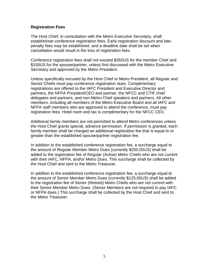#### **Registration Fees**

The Host Chief, in consultation with the Metro Executive Secretary, shall establish/set conference registration fees. Early-registration discount and latepenalty fees may be established, and a deadline date shall be set when cancellation would result in the loss of registration fees.

Conference registration fees shall not exceed \$350US for the member Chief and \$150US for the spouse/partner, unless first discussed with the Metro Executive Secretary and approved by the Metro President.

Unless specifically excused by the Host Chief or Metro President, all Regular and Senior Chiefs must pay conference registration dues. Complimentary registrations are offered to the IAFC President and Executive Director and partners, the NFPA President/CEO and partner, the NFCC and CTIF chief delegates and partners, and non-Metro Chief speakers and partners. All other members, including all members of the Metro Executive Board and all IAFC and NFPA staff members who are approved to attend the conference, must pay registration fees. Hotel room and tax is complimentary for the NFCC CEO.

Additional family members are not permitted to attend Metro conferences unless the Host Chief grants special, advance permission. If permission is granted, each family member shall be charged an additional registration fee that is equal to or greater than the established spouse/partner registration fee.

In addition to the established conference registration fee, a surcharge equal to the amount of Regular Member Metro Dues (currently \$250.00US) shall be added to the registration fee of Regular (Active) Metro Chiefs who are not current with their IAFC, NFPA, and/or Metro Dues. This surcharge shall be collected by the Host Chief and sent to the Metro Treasurer.

In addition to the established conference registration fee, a surcharge equal to the amount of Senior Member Metro Dues (currently \$125.00US) shall be added to the registration fee of Senior (Retired) Metro Chiefs who are not current with their Senior Member Metro Dues. (Senior Members are not required to pay IAFC or NFPA dues.) This surcharge shall be collected by the Host Chief and sent to the Metro Treasurer.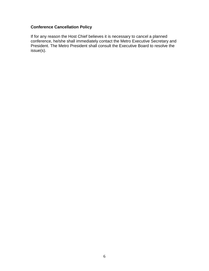## **Conference Cancellation Policy**

If for any reason the Host Chief believes it is necessary to cancel a planned conference, he/she shall immediately contact the Metro Executive Secretary and President. The Metro President shall consult the Executive Board to resolve the issue(s).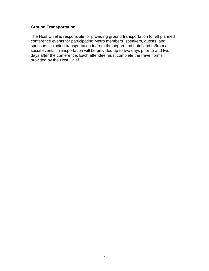## **Ground Transportation**

The Host Chief is responsible for providing ground transportation for all planned conference events for participating Metro members, speakers, guests, and sponsors including transportation to/from the airport and hotel and to/from all social events. Transportation will be provided up to two days prior to and two days after the conference. Each attendee must complete the travel forms provided by the Host Chief.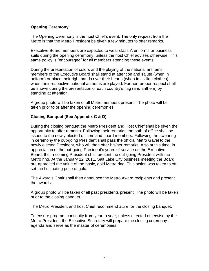## **Opening Ceremony**

The Opening Ceremony is the host Chief's event. The only request from the Metro is that the Metro President be given a few minutes to offer remarks.

Executive Board members are expected to wear class-A uniforms or business suits during the opening ceremony, unless the host Chief advises otherwise. This same policy is "encouraged" for all members attending these events.

During the presentation of colors and the playing of the national anthems, members of the Executive Board shall stand at attention and salute (when in uniform) or place their right hands over their hearts (when in civilian clothes) when their respective national anthems are played. Further, proper respect shall be shown during the presentation of each country's flag (and anthem) by standing at attention.

A group photo will be taken of all Metro members present. The photo will be taken prior to or after the opening ceremonies.

#### **Closing Banquet (See Appendix C & D)**

During the closing banquet the Metro President and Host Chief shall be given the opportunity to offer remarks. Following their remarks, the oath of office shall be issued to the newly elected officers and board members. Following the swearingin ceremony the out-going President shall pass the official Metro Gavel to the newly elected President, who will then offer his/her remarks. Also at this time, in appreciation of the out-going President's years of service on the Executive Board, the in-coming President shall present the out-going President with the Metro ring. At the January 22, 2011, Salt Lake City business meeting the Board pre-approved the value of the basic, gold Metro ring. This action was taken to offset the fluctuating price of gold.

The Award's Chair shall then announce the Metro Award recipients and present the awards.

A group photo will be taken of all past presidents present. The photo will be taken prior to the closing banquet.

The Metro President and host Chief recommend attire for the closing banquet.

To ensure program continuity from year to year, unless directed otherwise by the Metro President, the Executive Secretary will prepare the closing ceremony agenda and serve as the master of ceremonies.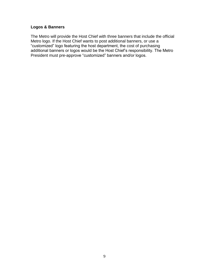## **Logos & Banners**

The Metro will provide the Host Chief with three banners that include the official Metro logo. If the Host Chief wants to post additional banners, or use a "customized" logo featuring the host department, the cost of purchasing additional banners or logos would be the Host Chief's responsibility. The Metro President must pre-approve "customized" banners and/or logos.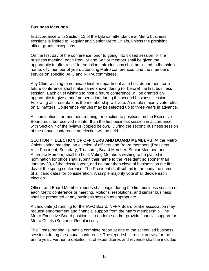#### **Business Meetings**

In accordance with Section 11 of the bylaws, attendance at Metro business sessions is limited to Regular and Senior Metro Chiefs, unless the presiding officer grants exceptions.

On the first day of the conference, prior to going into closed session for the business meeting, each Regular and Senior member shall be given the opportunity to offer a self-introduction. Introductions shall be limited to the chief's name, city, number of years attending Metro conferences, and the member's service on specific IAFC and NFPA committees.

Any Chief wishing to nominate his/her department as a host department for a future conference shall make same known during (or before) the first business session. Each chief wishing to host a future conference will be granted an opportunity to give a brief presentation during the second business session. Following all presentations the membership will vote. A simple majority vote rules on all matters. Conference venues may be selected up to three years in advance.

All nominations for members running for election to positions on the Executive Board must be received no later than the first business session in accordance with Section 7 of the bylaws (copied below). During the second business session of the annual conference an election will be held.

SECTION 7. **ELECTION OF OFFICERS AND BOARD MEMBERS**: At the Metro Chiefs spring meeting, an election of officers and Board members (President, Vice President, Secretary, Treasurer, Board Member, Senior Member, and Alternate Member) shall be held. Voting Members wishing to be placed in nomination for office shall submit their name to the President no sooner than January 30, of the election year, and no later than close of business on the first day of the spring conference. The President shall submit to the body the names of all candidates for consideration. A simple majority vote shall decide each election.

Officer and Board Member reports shall begin during the first business session of each Metro conference or meeting. Motions, resolutions, and similar business shall be presented at any business session as appropriate.

A candidate(s) running for the IAFC Board, NFPA Board or like association may request endorsement and financial support from the Metro membership. The Metro Executive Board position is to endorse and/or provide financial support for Metro Chiefs (Senior or Regular) only.

The Treasurer shall submit a complete report at one of the scheduled business sessions during the annual conference. The report shall reflect activity for the entire year. Further, a detailed list of expenditures and revenue shall be included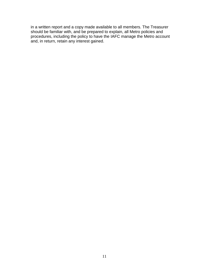in a written report and a copy made available to all members. The Treasurer should be familiar with, and be prepared to explain, all Metro policies and procedures, including the policy to have the IAFC manage the Metro account and, in return, retain any interest gained.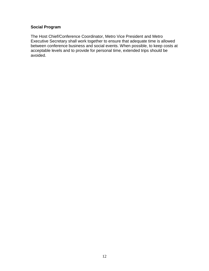## **Social Program**

The Host Chief/Conference Coordinator, Metro Vice President and Metro Executive Secretary shall work together to ensure that adequate time is allowed between conference business and social events. When possible, to keep costs at acceptable levels and to provide for personal time, extended trips should be avoided.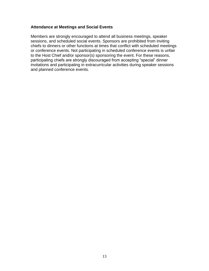#### **Attendance at Meetings and Social Events**

Members are strongly encouraged to attend all business meetings, speaker sessions, and scheduled social events. Sponsors are prohibited from inviting chiefs to dinners or other functions at times that conflict with scheduled meetings or conference events. Not participating in scheduled conference events is unfair to the Host Chief and/or sponsor(s) sponsoring the event. For these reasons, participating chiefs are strongly discouraged from accepting "special" dinner invitations and participating in extracurricular activities during speaker sessions and planned conference events.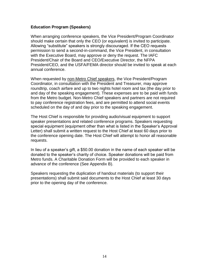#### **Education Program (Speakers)**

When arranging conference speakers, the Vice President/Program Coordinator should make certain that only the CEO (or equivalent) is invited to participate. Allowing "substitute" speakers is strongly discouraged. If the CEO requests permission to send a second-in-command, the Vice President, in consultation with the Executive Board, may approve or deny the request. The IAFC President/Chair of the Board and CEO/Executive Director, the NFPA President/CEO, and the USFA/FEMA director should be invited to speak at each annual conference.

When requested by non-Metro Chief speakers, the Vice President/Program Coordinator, in consultation with the President and Treasurer, may approve roundtrip, coach airfare and up to two nights hotel room and tax (the day prior to and day of the speaking engagement). These expenses are to be paid with funds from the Metro budget. Non-Metro Chief speakers and partners are not required to pay conference registration fees, and are permitted to attend social events scheduled on the day of and day prior to the speaking engagement.

The Host Chief is responsible for providing audio/visual equipment to support speaker presentations and related conference programs. Speakers requesting special equipment (equipment other than what is listed in the Speaker's Approval Letter) shall submit a written request to the Host Chief at least 60 days prior to the conference opening date. The Host Chief will attempt to honor all reasonable requests.

In lieu of a speaker's gift, a \$50.00 donation in the name of each speaker will be donated to the speaker's charity of choice. Speaker donations will be paid from Metro funds. A Charitable Donation Form will be provided to each speaker in advance of the conference (See Appendix B).

Speakers requesting the duplication of handout materials (to support their presentations) shall submit said documents to the Host Chief at least 30 days prior to the opening day of the conference.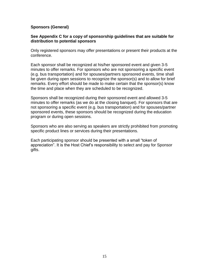#### **Sponsors (General)**

#### **See Appendix C for a copy of sponsorship guidelines that are suitable for distribution to potential sponsors**

Only registered sponsors may offer presentations or present their products at the conference.

Each sponsor shall be recognized at his/her sponsored event and given 3-5 minutes to offer remarks. For sponsors who are not sponsoring a specific event (e.g. bus transportation) and for spouses/partners sponsored events, time shall be given during open sessions to recognize the sponsor(s) and to allow for brief remarks. Every effort should be made to make certain that the sponsor(s) know the time and place when they are scheduled to be recognized.

Sponsors shall be recognized during their sponsored event and allowed 3-5 minutes to offer remarks (as we do at the closing banquet). For sponsors that are not sponsoring a specific event (e.g. bus transportation) and for spouses/partner sponsored events, these sponsors should be recognized during the education program or during open sessions.

Sponsors who are also serving as speakers are strictly prohibited from promoting specific product lines or services during their presentations.

Each participating sponsor should be presented with a small "token of appreciation". It is the Host Chief's responsibility to select and pay for Sponsor gifts.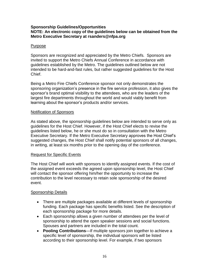#### **Sponsorship Guidelines/Opportunities NOTE: An electronic copy of the guidelines below can be obtained from the Metro Executive Secretary at rsanders@nfpa.org**

#### Purpose

Sponsors are recognized and appreciated by the Metro Chiefs. Sponsors are invited to support the Metro Chiefs Annual Conference in accordance with guidelines established by the Metro. The guidelines outlined below are not intended to be hard-and-fast rules, but rather suggested guidelines for the Host Chief.

Being a Metro Fire Chiefs Conference sponsor not only demonstrates the sponsoring organization's presence in the fire service profession, it also gives the sponsor's brand optimal visibility to the attendees, who are the leaders of the largest fire departments throughout the world and would viably benefit from learning about the sponsor's products and/or services.

#### Notification of Sponsors

As stated above, the sponsorship guidelines below are intended to serve only as guidelines for the Host Chief. However, if the Host Chief elects to revise the guidelines listed below, he or she must do so in consultation with the Metro Executive Secretary. If the Metro Executive Secretary approves the Host Chief's suggested changes, the Host Chief shall notify potential sponsors of all changes, in writing, at least six months prior to the opening day of the conference.

## Request for Specific Events

The Host Chief will work with sponsors to identify assigned events. If the cost of the assigned event exceeds the agreed upon sponsorship level, the Host Chief will contact the sponsor offering him/her the opportunity to increase the contribution to the level necessary to retain sole sponsorship of the desired event.

## Sponsorship Details

- There are multiple packages available at different levels of sponsorship funding. Each package has specific benefits listed. See the description of each sponsorship package for more details.
- Each sponsorship allows a given number of attendees per the level of sponsorship to attend the open speaker sessions and social functions. Spouses and partners are included in the total count.
- **Pooling Contributions**—If multiple sponsors join together to achieve a specific level of sponsorship, the individual sponsors will be listed according to their sponsorship level. For example, if two sponsors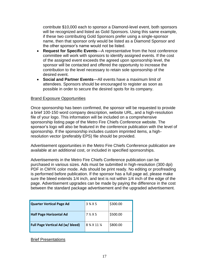contribute \$10,000 each to sponsor a Diamond-level event, both sponsors will be recognized and listed as Gold Sponsors. Using this same example, if these two contributing Gold Sponsors prefer using a single-sponsor name, then that sponsor only would be listed as a Diamond Sponsor and the other sponsor's name would not be listed.

- **Request for Specific Events**—A representative from the host conference committee will work with sponsors to identify assigned events. If the cost of the assigned event exceeds the agreed upon sponsorship level, the sponsor will be contacted and offered the opportunity to increase the contribution to the level necessary to retain sole sponsorship of the desired event.
- **Social and Partner Events**—All events have a maximum limit of attendees. Sponsors should be encouraged to register as soon as possible in order to secure the desired spots for its company.

#### Brand Exposure Opportunities

Once sponsorship has been confirmed, the sponsor will be requested to provide a brief 100-150 word company description, website URL, and a high-resolution file of your logo. This information will be included on a comprehensive sponsorship listing page of the Metro Fire Chiefs Conference website. The sponsor's logo will also be featured in the conference publication with the level of sponsorship. If the sponsorship includes custom imprinted items, a highresolution vector (preferably EPS) file should be provided.

Advertisement opportunities in the Metro Fire Chiefs Conference publication are available at an additional cost, or included in specified sponsorships.

Advertisements in the Metro Fire Chiefs Conference publication can be purchased in various sizes. Ads must be submitted in high-resolution (300 dpi) PDF in CMYK color mode. Ads should be print ready. No editing or proofreading is performed before publication. If the sponsor has a full page ad, please make sure the bleed extends 1/4 inch, and text is not within 1/4 inch of the edge of the page. Advertisement upgrades can be made by paying the difference in the cost between the standard package advertisement and the upgraded advertisement.

| <b>Quarter Vertical Page Ad</b>  | 3 % X 5       | \$300.00 |
|----------------------------------|---------------|----------|
| <b>Half Page Horizontal Ad</b>   | $72 \times 5$ | \$500.00 |
| Full Page Vertical Ad (w/ bleed) | 8 % X 11 %    | \$800.00 |

Brief Presentations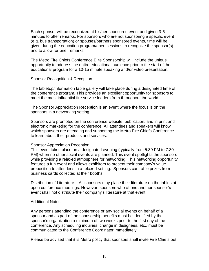Each sponsor will be recognized at his/her sponsored event and given 3-5 minutes to offer remarks. For sponsors who are not sponsoring a specific event (e.g. bus transportation) or spouses/partners sponsored events, time will be given during the education program/open sessions to recognize the sponsor(s) and to allow for brief remarks.

The Metro Fire Chiefs Conference Elite Sponsorship will include the unique opportunity to address the entire educational audience prior to the start of the educational program for a 10-15 minute speaking and/or video presentation.

#### Sponsor Recognition & Reception

The tabletop/information table gallery will take place during a designated time of the conference program. This provides an excellent opportunity for sponsors to meet the most influential fire service leaders from throughout the world.

The Sponsor Appreciation Reception is an event where the focus is on the sponsors in a networking setting.

Sponsors are promoted on the conference website, publication, and in print and electronic marketing for the conference. All attendees and speakers will know which sponsors are attending and supporting the Metro Fire Chiefs Conference to learn about their products and services.

#### Sponsor Appreciation Reception

This event takes place on a designated evening (typically from 5:30 PM to 7:30 PM) when no other social events are planned. This event spotlights the sponsors while providing a relaxed atmosphere for networking. This networking opportunity features a fun event and allows exhibitors to present their company's value proposition to attendees in a relaxed setting. Sponsors can raffle prizes from business cards collected at their booths.

Distribution of Literature – All sponsors may place their literature on the tables at open conference meetings. However, sponsors who attend another sponsor's event shall not distribute their company's literature at that event.

#### Additional Notes

Any persons attending the conference or any social events on behalf of a sponsor and as part of the sponsorship benefits must be identified by the sponsor's organization a minimum of two weeks prior to the first day of the conference. Any scheduling inquiries, change in designees, etc., must be communicated to the Conference Coordinator immediately.

Please be advised that it is Metro policy that sponsors shall invite Fire Chiefs out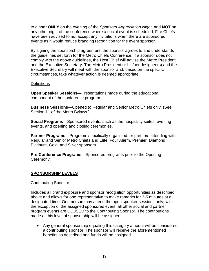to dinner **ONLY** on the evening of the *Sponsors Appreciation Night*, and **NOT** on any other night of the conference where a social event is scheduled. Fire Chiefs have been advised to not accept any invitations when there are sponsored events as it would reduce branding recognition for the event sponsor.

By signing the sponsorship agreement, the sponsor agrees to and understands the guidelines set forth for the Metro Chiefs Conference. If a sponsor does not comply with the above guidelines, the Host Chief will advise the Metro President and the Executive Secretary. The Metro President or his/her designee(s) and the Executive Secretary will meet with the sponsor and, based on the specific circumstances, take whatever action is deemed appropriate.

#### **Definitions**

**Open Speaker Sessions**—Presentations made during the educational component of the conference program.

**Business Sessions**—Opened to Regular and Senior Metro Chiefs only. (See Section 11 of the Metro Bylaws.)

**Social Programs**—Sponsored events, such as the hospitality suites, evening events, and opening and closing ceremonies.

**Partner Programs**—Programs specifically organized for partners attending with Regular and Senior Metro Chiefs and Elite, Four Alarm, Premier, Diamond, Platinum, Gold, and Silver sponsors.

**Pre-Conference Programs**—Sponsored programs prior to the Opening Ceremony.

## **SPONSORSHIP LEVELS**

#### Contributing Sponsor

Includes all brand exposure and sponsor recognition opportunities as described above and allows for one representative to make remarks for 3-5 minutes at a designated time. One person may attend the open speaker sessions only; with the exception of the assigned sponsored event, all other social and partner program events are CLOSED to the Contributing Sponsor. The contributions made at this level of sponsorship will be assigned.

 Any general sponsorship equaling this category amount will be considered a contributing sponsor. The sponsor will receive the aforementioned benefits as described and funds will be assigned.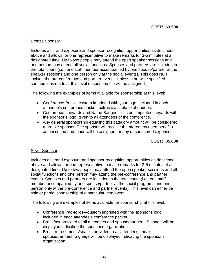## Bronze Sponsor

Includes all brand exposure and sponsor recognition opportunities as described above and allows for one representative to make remarks for 3-5 minutes at a designated time. Up to two people may attend the open speaker sessions and one person may attend all social functions. Spouses and partners are included in the total count (i.e., one staff member accompanied by one spouse/partner at the speaker sessions and one person only at the social events). This does NOT include the pre-conference and partner events. Unless otherwise specified, contributions made at this level of sponsorship will be assigned.

The following are examples of items available for sponsorship at this level:

- Conference Pens—custom imprinted with your logo, included in each attendee's conference packet, extras available to attendees.
- Conference Lanyards and Name Badges—custom imprinted lanyards with the sponsor's logo, given to all attendees of the conference.
- Any general sponsorship equaling this category amount will be considered a bronze sponsor. The sponsor will receive the aforementioned benefits as described and funds will be assigned for any unsponsored expenses.

## **COST: \$5,000**

#### Silver Sponsor

Includes all brand exposure and sponsor recognition opportunities as described above and allows for one representative to make remarks for 3-5 minutes at a designated time. Up to two people may attend the open speaker sessions and all social functions and one person may attend the pre-conference and partner events. Spouses and partners are included in the total count (i.e., one staff member accompanied by one spouse/partner at the social programs and one person only at the pre-conference and partner events). This level can either be sole or partial sponsorship of a particular item/event.

The following are examples of items available for sponsorship at this level:

- Conference Pad-folios—custom imprinted with the sponsor's logo, included in each attendee's conference packet.
- Breakfast provided to all attendees and spouse/partners. Signage will be displayed indicating the sponsor's organization.
- Break refreshments/snacks provided to all attendees and/or spouse/partners. Signage will be displayed indicating the sponsor's organization.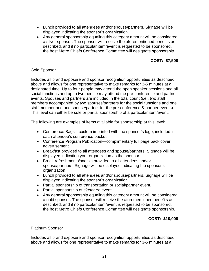- Lunch provided to all attendees and/or spouse/partners. Signage will be displayed indicating the sponsor's organization.
- Any general sponsorship equaling this category amount will be considered a silver sponsor. The sponsor will receive the aforementioned benefits as described, and if no particular item/event is requested to be sponsored, the host Metro Chiefs Conference Committee will designate sponsorship.

## **COST: \$7,500**

#### Gold Sponsor

Includes all brand exposure and sponsor recognition opportunities as described above and allows for one representative to make remarks for 3-5 minutes at a designated time. Up to four people may attend the open speaker sessions and all social functions and up to two people may attend the pre-conference and partner events. Spouses and partners are included in the total count (i.e., two staff members accompanied by two spouses/partners for the social functions and one staff member and one spouse/partner for the pre-conference & partner events). This level can either be sole or partial sponsorship of a particular item/event.

The following are examples of items available for sponsorship at this level:

- Conference Bags—custom imprinted with the sponsor's logo, included in each attendee's conference packet.
- Conference Program Publication—complimentary full page back cover advertisement.
- Breakfast provided to all attendees and spouse/partners. Signage will be displayed indicating your organization as the sponsor.
- Break refreshments/snacks provided to all attendees and/or spouse/partners. Signage will be displayed indicating the sponsor's organization.
- Lunch provided to all attendees and/or spouse/partners. Signage will be displayed indicating the sponsor's organization.
- Partial sponsorship of transportation or social/partner event.
- Partial sponsorship of *signature* event.
- Any general sponsorship equaling this category amount will be considered a gold sponsor. The sponsor will receive the aforementioned benefits as described, and if no particular item/event is requested to be sponsored, the host Metro Chiefs Conference Committee will designate sponsorship.

## **COST: \$10,000**

#### Platinum Sponsor

Includes all brand exposure and sponsor recognition opportunities as described above and allows for one representative to make remarks for 3-5 minutes at a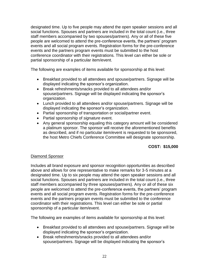designated time. Up to five people may attend the open speaker sessions and all social functions. Spouses and partners are included in the total count (i.e., three staff members accompanied by two spouses/partners). Any or all of these five people are welcomed to attend the pre-conference events, the partners' program events and all social program events. Registration forms for the pre-conference events and the partners program events must be submitted to the host conference coordinator with their registrations. This level can either be sole or partial sponsorship of a particular item/event.

The following are examples of items available for sponsorship at this level:

- Breakfast provided to all attendees and spouse/partners. Signage will be displayed indicating the sponsor's organization.
- Break refreshments/snacks provided to all attendees and/or spouse/partners. Signage will be displayed indicating the sponsor's organization.
- Lunch provided to all attendees and/or spouse/partners. Signage will be displayed indicating the sponsor's organization.
- Partial sponsorship of transportation or social/partner event.
- Partial sponsorship of *signature* event.
- Any general sponsorship equaling this category amount will be considered a platinum sponsor. The sponsor will receive the aforementioned benefits as described, and if no particular item/event is requested to be sponsored, the host Metro Chiefs Conference Committee will designate sponsorship.

## **COST: \$15,000**

## Diamond Sponsor

Includes all brand exposure and sponsor recognition opportunities as described above and allows for one representative to make remarks for 3-5 minutes at a designated time. Up to six people may attend the open speaker sessions and all social functions. Spouses and partners are included in the total count (i.e., three staff members accompanied by three spouses/partners). Any or all of these six people are welcomed to attend the pre-conference events, the partners' program events and all social program events. Registration forms for the pre-conference events and the partners program events must be submitted to the conference coordinator with their registrations. This level can either be sole or partial sponsorship of a particular item/event.

The following are examples of items available for sponsorship at this level:

- Breakfast provided to all attendees and spouse/partners. Signage will be displayed indicating the sponsor's organization.
- Break refreshments/snacks provided to all attendees and/or spouse/partners. Signage will be displayed indicating the sponsor's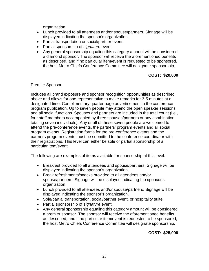organization.

- Lunch provided to all attendees and/or spouse/partners. Signage will be displayed indicating the sponsor's organization.
- Partial transportation or social/partner event.
- Partial sponsorship of *signature* event.
- Any general sponsorship equaling this category amount will be considered a diamond sponsor. The sponsor will receive the aforementioned benefits as described, and if no particular item/event is requested to be sponsored, the host Metro Chiefs Conference Committee will designate sponsorship.

## **COST: \$20,000**

#### Premier Sponsor

Includes all brand exposure and sponsor recognition opportunities as described above and allows for one representative to make remarks for 3-5 minutes at a designated time. Complimentary quarter page advertisement in the conference program publication. Up to seven people may attend the open speaker sessions and all social functions. Spouses and partners are included in the total count (i.e., four staff members accompanied by three spouses/partners or any combination totaling seven individuals). Any or all of these seven people are welcomed to attend the pre-conference events, the partners' program events and all social program events. Registration forms for the pre-conference events and the partners program events must be submitted to the conference coordinator with their registrations. This level can either be sole or partial sponsorship of a particular item/event.

The following are examples of items available for sponsorship at this level:

- Breakfast provided to all attendees and spouse/partners. Signage will be displayed indicating the sponsor's organization.
- Break refreshments/snacks provided to all attendees and/or spouse/partners. Signage will be displayed indicating the sponsor's organization.
- Lunch provided to all attendees and/or spouse/partners. Signage will be displayed indicating the sponsor's organization.
- Sole/partial transportation, social/partner event, or hospitality suite.
- Partial sponsorship of *signature* event.
- Any general sponsorship equaling this category amount will be considered a premier sponsor. The sponsor will receive the aforementioned benefits as described, and if no particular item/event is requested to be sponsored, the host Metro Chiefs Conference Committee will designate sponsorship.

**COST: \$25,000**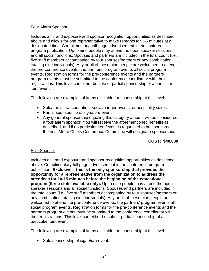## Four Alarm Sponsor

Includes all brand exposure and sponsor recognition opportunities as described above and allows for one representative to make remarks for 3-5 minutes at a designated time. Complimentary half page advertisement in the conference program publication. Up to nine people may attend the open speaker sessions and all social functions. Spouses and partners are included in the total count (i.e., five staff members accompanied by four spouses/partners or any combination totaling nine individuals). Any or all of these nine people are welcomed to attend the pre-conference events, the partners' program events all social program events. Registration forms for the pre-conference events and the partners program events must be submitted to the conference coordinator with their registrations. This level can either be sole or partial sponsorship of a particular item/event.

The following are examples of items available for sponsorship at this level:

- Sole/partial transportation, social/partner events, or hospitality suites.
- Partial sponsorship of *signature* event.
- Any general sponsorship equaling this category amount will be considered a four alarm sponsor. You will receive the aforementioned benefits as described, and if no particular item/event is requested to be sponsored, the host Metro Chiefs Conference Committee will designate sponsorship.

## **COST: \$40,000**

## Elite Sponsor

Includes all brand exposure and sponsor recognition opportunities as described above. Complimentary full page advertisement in the conference program publication. **Exclusive – this is the only sponsorship that provides the opportunity for a representative from the organization to address the attendees for 10-15 minutes before the beginning of the educational program (three slots available only).** Up to nine people may attend the open speaker sessions and all social functions. Spouses and partners are included in the total count (i.e., five staff members accompanied by four spouses/partners or any combination totaling nine individuals). Any or all of these nine people are welcomed to attend the pre-conference events, the partners' program events all social program events. Registration forms for the pre-conference events and the partners program events must be submitted to the conference coordinator with their registrations. This level can either be sole or partial sponsorship of a particular item/event.

The following are examples of items available for sponsorship at this level:

Sole sponsorship of *signature* event.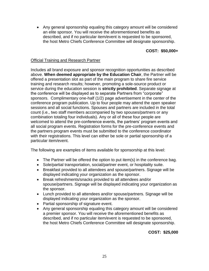Any general sponsorship equaling this category amount will be considered an elite sponsor. You will receive the aforementioned benefits as described, and if no particular item/event is requested to be sponsored, the host Metro Chiefs Conference Committee will designate sponsorship.

## **COST: \$50,000+**

#### Official Training and Research Partner

Includes all brand exposure and sponsor recognition opportunities as described above. **When deemed appropriate by the Education Chair**, the Partner will be offered a presentation slot as part of the main program to share fire service training and research results; however, promoting a sole-source product or service during the education session is **strictly prohibited**. Separate signage at the conference will be displayed as to separate Partners from "corporate" sponsors. Complimentary one-half (1/2) page advertisement in the center of the conference program publication. Up to four people may attend the open speaker sessions and all social functions. Spouses and partners are included in the total count (i.e., two staff members accompanied by two spouses/partners or any combination totaling four individuals). Any or all of these four people are welcomed to attend the pre-conference events, the partners' program events and all social program events. Registration forms for the pre-conference events and the partners program events must be submitted to the conference coordinator with their registrations. This level can either be sole or partial sponsorship of a particular item/event.

The following are examples of items available for sponsorship at this level:

- The Partner will be offered the option to put item(s) in the conference bag.
- Sole/partial transportation, social/partner event, or hospitality suite.
- Breakfast provided to all attendees and spouse/partners. Signage will be displayed indicating your organization as the sponsor.
- Break refreshments/snacks provided to all attendees and/or spouse/partners. Signage will be displayed indicating your organization as the sponsor.
- Lunch provided to all attendees and/or spouse/partners. Signage will be displayed indicating your organization as the sponsor.
- Partial sponsorship of signature event.
- Any general sponsorship equaling this category amount will be considered a premier sponsor. You will receive the aforementioned benefits as described, and if no particular item/event is requested to be sponsored, the host Metro Chiefs Conference Committee will designate sponsorship.

**COST: \$25,000**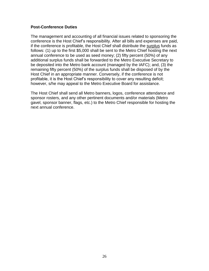#### **Post-Conference Duties**

The management and accounting of all financial issues related to sponsoring the conference is the Host Chief's responsibility. After all bills and expenses are paid, if the conference is profitable, the Host Chief shall distribute the surplus funds as follows: (1) up to the first \$5,000 shall be sent to the Metro Chief hosting the next annual conference to be used as seed money; (2) fifty percent (50%) of any additional surplus funds shall be forwarded to the Metro Executive Secretary to be deposited into the Metro bank account (managed by the IAFC); and, (3) the remaining fifty percent (50%) of the surplus funds shall be disposed of by the Host Chief in an appropriate manner. Conversely, if the conference is not profitable, it is the Host Chief's responsibility to cover any resulting deficit; however, s/he may appeal to the Metro Executive Board for assistance.

The Host Chief shall send all Metro banners, logos, conference attendance and sponsor rosters, and any other pertinent documents and/or materials (Metro gavel, sponsor banner, flags, etc.) to the Metro Chief responsible for hosting the next annual conference.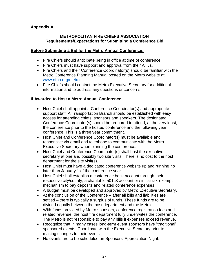## **Appendix A**

#### **METROPOLITAN FIRE CHIEFS ASSOCIATION Requirements/Expectations for Submitting a Conference Bid**

#### **Before Submitting a Bid for the Metro Annual Conference:**

- Fire Chiefs should anticipate being in office at time of conference.
- Fire Chiefs must have support and approval from their AHJs.
- Fire Chiefs and their Conference Coordinator(s) should be familiar with the Metro Conference Planning Manual posted on the Metro website at [www.nfpa.org/metro.](http://www.nfpa.org/metro)
- Fire Chiefs should contact the Metro Executive Secretary for additional information and to address any questions or concerns.

## **If Awarded to Host a Metro Annual Conference:**

- Host Chief shall appoint a Conference Coordinator(s) and appropriate support staff. A Transportation Branch should be established with easy access for attending chiefs, sponsors and speakers. The designated Conference Coordinator(s) should be prepared to attend, at the very least, the conference prior to the hosted conference and the following year conference. This is a three year commitment.
- Host Chief and Conference Coordinator(s) must be available and responsive via email and telephone to communicate with the Metro Executive Secretary when planning the conference.
- Host Chief and Conference Coordinator(s) shall host the executive secretary at one and possibly two site visits. There is no cost to the host department for the site visit(s).
- Host Chief must have a dedicated conference website up and running no later than January 1 of the conference year.
- Host Chief shall establish a conference bank account through their respective city/county, a charitable 501c3 account or similar tax-exempt mechanism to pay deposits and related conference expenses.
- A budget must be developed and approved by Metro Executive Secretary.
- At the conclusion of the Conference after all bills and liabilities are settled – there is typically a surplus of funds. These funds are to be divided equally between the host department and the Metro.
- With funds provided by Metro sponsors, conference registration fees and related revenue, the host fire department fully underwrites the conference. The Metro is not responsible to pay any bills if expenses exceed revenue.
- Recognize that in many cases long-term event sponsors have "traditional" sponsored events. Coordinate with the Executive Secretary prior to making changes to their events.
- No events are to be scheduled on Sponsors' Appreciation Night.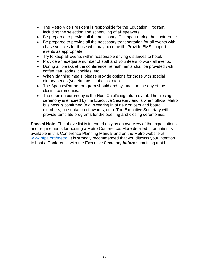- The Metro Vice President is responsible for the Education Program, including the selection and scheduling of all speakers.
- Be prepared to provide all the necessary IT support during the conference.
- Be prepared to provide all the necessary transportation for all events with chase vehicles for those who may become ill. Provide EMS support events as appropriate.
- Try to keep all events within reasonable driving distances to hotel.
- Provide an adequate number of staff and volunteers to work all events.
- During all breaks at the conference, refreshments shall be provided with coffee, tea, sodas, cookies, etc.
- When planning meals, please provide options for those with special dietary needs (vegetarians, diabetics, etc.).
- The Spouse/Partner program should end by lunch on the day of the closing ceremonies.
- The opening ceremony is the Host Chief's signature event. The closing ceremony is emceed by the Executive Secretary and is when official Metro business is confirmed (e.g. swearing in of new officers and board members, presentation of awards, etc.). The Executive Secretary will provide template programs for the opening and closing ceremonies.

**Special Note**: The above list is intended only as an overview of the expectations and requirements for hosting a Metro Conference. More detailed information is available in this Conference Planning Manual and on the Metro website at [www.nfpa.org/metro.](http://www.nfpa.org/metro) It is strongly recommended that you discuss your intention to host a Conference with the Executive Secretary *before* submitting a bid.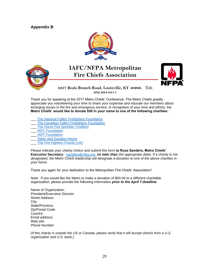#### **Appendix B**





## **IAFC/NFPA Metropolitan Fire Chiefs Association**



#### **3257 Beals Branch Road, Louisville, KY 40206. Tel: 502.894.0411**

Thank you for speaking at the 2017 Metro Chiefs' Conference. The Metro Chiefs greatly  **Email: [Rsanders@NFPA.org](mailto:Rsanders@NFPA.org) Website: [www.nfpa.org/metro](http://www.nfpa.org/metro)**appreciate you volunteering your time to share your expertise and educate our members about emerging issues in the fire and emergency service. In recognition of your time and efforts, the **Metro Chiefs' would like to donate \$50 in your name to one of the following charities:**

- The National Fallen Firefighters Foundation
- The Canadian Fallen Firefighters Foundation
- The Home Fire Sprinkler Coalition
- IAFC Foundation
- [IAFF Foundation](http://www.iaff.org/HS/Charities.htm)
- Helen and Douglas House
- The Fire Fighters Charity (UK)

Please indicate your charity choice and submit this form **to Russ Sanders, Metro Chiefs' Executive Secretary**: [rsanders@nfpa.org,](mailto:rsanders@nfpa.org) *no later than (list appropriate date). If a charity is not designated, the Metro Chiefs leadership will designate a donation to one of the above charities in your honor.*

Thank you again for your dedication to the Metropolitan Fire Chiefs' Association!

Note: If you would like the Metro to make a donation of \$50.00 to a different charitable organization, please provide the following information *prior to the April 7 deadline*:

Name of Organization: President/Executive Director: Street Address: City: State/Province: Zip/Postal Code: Country: Email address: Web site: Phone Number:

*(If this charity is outside the US or Canada, please verify that it will accept checks from a U.S. organization and U.S. bank.)*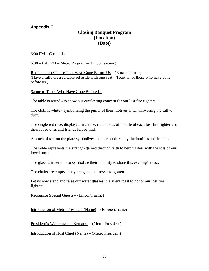## **Appendix C**

## **Closing Banquet Program (Location) (Date)**

6:00 PM – Cocktails

 $6:30 - 6:45$  PM – Metro Program – (Emcee's name)

Remembering Those That Have Gone Before Us – (Emcee's name) (Have a fully dressed table set aside with one seat – Toast all of those who have gone before us.)

Salute to Those Who Have Gone Before Us

The table is round - to show our everlasting concern for our lost fire fighters.

The cloth is white - symbolizing the purity of their motives when answering the call to duty.

The single red rose, displayed in a vase, reminds us of the life of each lost fire fighter and their loved ones and friends left behind.

A pinch of salt on the plate symbolizes the tears endured by the families and friends.

The Bible represents the strength gained through faith to help us deal with the loss of our loved ones.

The glass is inverted - to symbolize their inability to share this evening's toast.

The chairs are empty - they are gone, but never forgotten.

Let us now stand and raise our water glasses in a silent toast to honor our lost fire fighters.

Recognize Special Guests – (Emcee's name)

Introduction of Metro President (Name) – (Emcee's name)

President's Welcome and Remarks – (Metro President)

Introduction of Host Chief (Name) – (Metro President)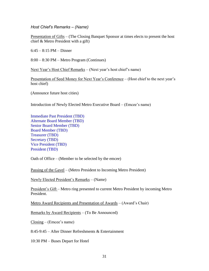*Host Chief's Remarks – (Name)*

Presentation of Gifts – (The Closing Banquet Sponsor at times elects to present the host chief & Metro President with a gift)

 $6:45 - 8:15$  PM – Dinner

8:00 – 8:30 PM – Metro Program (Continues)

Next Year's Host Chief Remarks – (Next year's host chief's name)

Presentation of Seed Money for Next Year's Conference – (Host chief to the next year's host chief)

(Announce future host cities)

Introduction of Newly Elected Metro Executive Board – (Emcee's name)

Immediate Past President (TBD) Alternate Board Member (TBD) Senior Board Member (TBD) Board Member (TBD) Treasurer (TBD) Secretary (TBD) Vice President (TBD) President (TBD)

Oath of Office – (Member to be selected by the emcee)

Passing of the Gavel – (Metro President to Incoming Metro President)

Newly Elected President's Remarks – (Name)

President's Gift – Metro ring presented to current Metro President by incoming Metro President.

Metro Award Recipients and Presentation of Awards – (Award's Chair)

Remarks by Award Recipients – (To Be Announced)

Closing – (Emcee's name)

8:45-9:45 – After Dinner Refreshments & Entertainment

10:30 PM – Buses Depart for Hotel